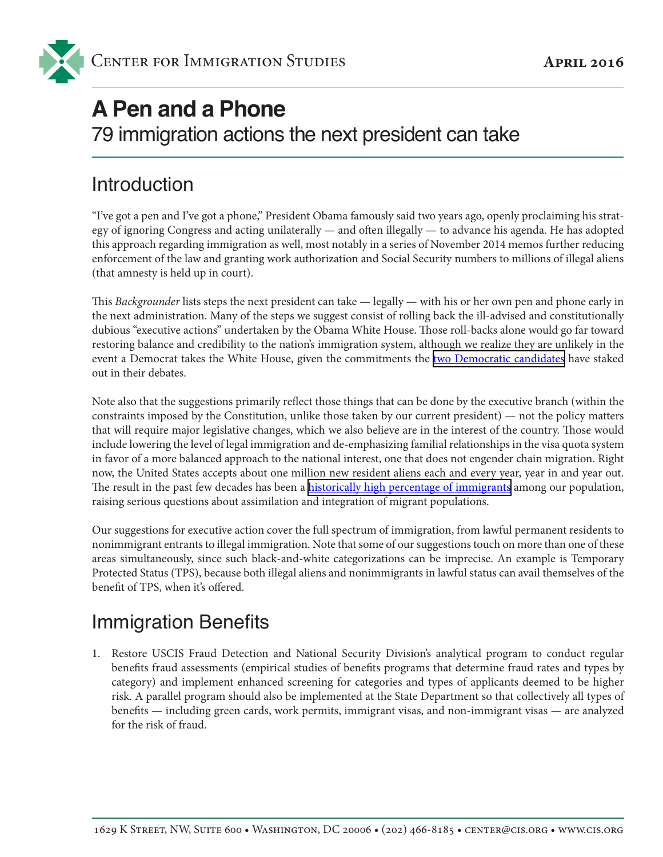# **A Pen and a Phone**

79 immigration actions the next president can take

### Introduction

"I've got a pen and I've got a phone," President Obama famously said two years ago, openly proclaiming his strategy of ignoring Congress and acting unilaterally — and often illegally — to advance his agenda. He has adopted this approach regarding immigration as well, most notably in a series of November 2014 memos further reducing enforcement of the law and granting work authorization and Social Security numbers to millions of illegal aliens (that amnesty is held up in court).

This *Backgrounder* lists steps the next president can take — legally — with his or her own pen and phone early in the next administration. Many of the steps we suggest consist of rolling back the ill-advised and constitutionally dubious "executive actions" undertaken by the Obama White House. Those roll-backs alone would go far toward restoring balance and credibility to the nation's immigration system, although we realize they are unlikely in the event a Democrat takes the White House, given the commitments the [two Democratic candidates](http://www.usatoday.com/story/news/politics/elections/2016/03/09/clinton-sanders-democratic-debate-miami/81554434/) have staked out in their debates.

Note also that the suggestions primarily reflect those things that can be done by the executive branch (within the constraints imposed by the Constitution, unlike those taken by our current president) — not the policy matters that will require major legislative changes, which we also believe are in the interest of the country. Those would include lowering the level of legal immigration and de-emphasizing familial relationships in the visa quota system in favor of a more balanced approach to the national interest, one that does not engender chain migration. Right now, the United States accepts about one million new resident aliens each and every year, year in and year out. The result in the past few decades has been a [historically high percentage of immigrants](http://cis.org/61-Million-Immigrants-and-Their-Young-Children-Now-Live-in-the-United-States) among our population, raising serious questions about assimilation and integration of migrant populations.

Our suggestions for executive action cover the full spectrum of immigration, from lawful permanent residents to nonimmigrant entrants to illegal immigration. Note that some of our suggestions touch on more than one of these areas simultaneously, since such black-and-white categorizations can be imprecise. An example is Temporary Protected Status (TPS), because both illegal aliens and nonimmigrants in lawful status can avail themselves of the benefit of TPS, when it's offered.

## Immigration Benefits

1. Restore USCIS Fraud Detection and National Security Division's analytical program to conduct regular benefits fraud assessments (empirical studies of benefits programs that determine fraud rates and types by category) and implement enhanced screening for categories and types of applicants deemed to be higher risk. A parallel program should also be implemented at the State Department so that collectively all types of benefits — including green cards, work permits, immigrant visas, and non-immigrant visas — are analyzed for the risk of fraud.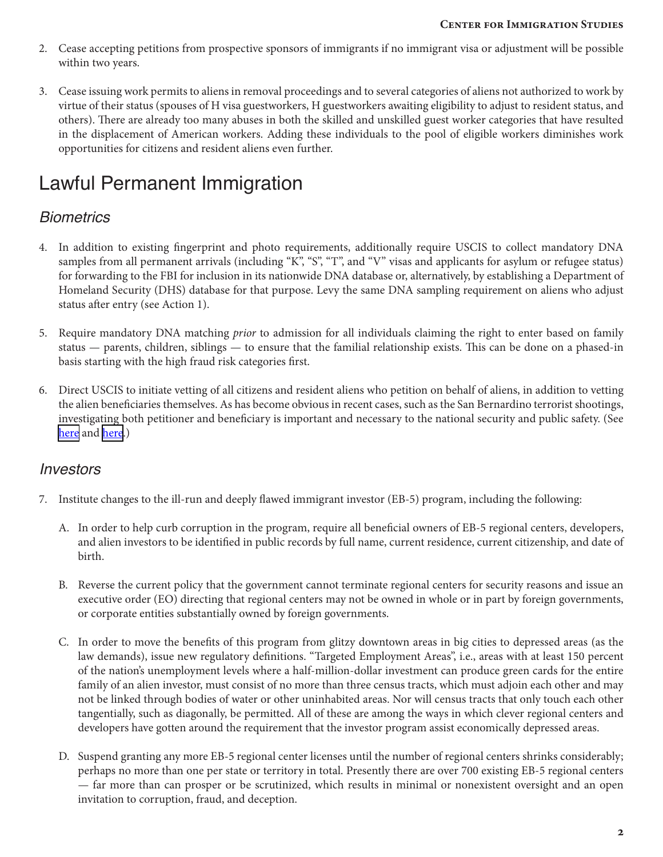- 2. Cease accepting petitions from prospective sponsors of immigrants if no immigrant visa or adjustment will be possible within two years.
- 3. Cease issuing work permits to aliens in removal proceedings and to several categories of aliens not authorized to work by virtue of their status (spouses of H visa guestworkers, H guestworkers awaiting eligibility to adjust to resident status, and others). There are already too many abuses in both the skilled and unskilled guest worker categories that have resulted in the displacement of American workers. Adding these individuals to the pool of eligible workers diminishes work opportunities for citizens and resident aliens even further.

## Lawful Permanent Immigration

### *Biometrics*

- 4. In addition to existing fingerprint and photo requirements, additionally require USCIS to collect mandatory DNA samples from all permanent arrivals (including "K", "S", "T", and "V" visas and applicants for asylum or refugee status) for forwarding to the FBI for inclusion in its nationwide DNA database or, alternatively, by establishing a Department of Homeland Security (DHS) database for that purpose. Levy the same DNA sampling requirement on aliens who adjust status after entry (see Action 1).
- 5. Require mandatory DNA matching *prior* to admission for all individuals claiming the right to enter based on family status — parents, children, siblings — to ensure that the familial relationship exists. This can be done on a phased-in basis starting with the high fraud risk categories first.
- 6. Direct USCIS to initiate vetting of all citizens and resident aliens who petition on behalf of aliens, in addition to vetting the alien beneficiaries themselves. As has become obvious in recent cases, such as the San Bernardino terrorist shootings, investigating both petitioner and beneficiary is important and necessary to the national security and public safety. (See [here](http://cis.org/vaughan/major-screening-gap-sponsors-immigrants-not-fully-vetted-under-current-policy) and [here.](http://www.cis.org/opedsandArticles/Vaughan-Tighten-Up-Immigration-Procedures-Now))

#### *Investors*

- 7. Institute changes to the ill-run and deeply flawed immigrant investor (EB-5) program, including the following:
	- A. In order to help curb corruption in the program, require all beneficial owners of EB-5 regional centers, developers, and alien investors to be identified in public records by full name, current residence, current citizenship, and date of birth.
	- B. Reverse the current policy that the government cannot terminate regional centers for security reasons and issue an executive order (EO) directing that regional centers may not be owned in whole or in part by foreign governments, or corporate entities substantially owned by foreign governments.
	- C. In order to move the benefits of this program from glitzy downtown areas in big cities to depressed areas (as the law demands), issue new regulatory definitions. "Targeted Employment Areas", i.e., areas with at least 150 percent of the nation's unemployment levels where a half-million-dollar investment can produce green cards for the entire family of an alien investor, must consist of no more than three census tracts, which must adjoin each other and may not be linked through bodies of water or other uninhabited areas. Nor will census tracts that only touch each other tangentially, such as diagonally, be permitted. All of these are among the ways in which clever regional centers and developers have gotten around the requirement that the investor program assist economically depressed areas.
	- D. Suspend granting any more EB-5 regional center licenses until the number of regional centers shrinks considerably; perhaps no more than one per state or territory in total. Presently there are over 700 existing EB-5 regional centers — far more than can prosper or be scrutinized, which results in minimal or nonexistent oversight and an open invitation to corruption, fraud, and deception.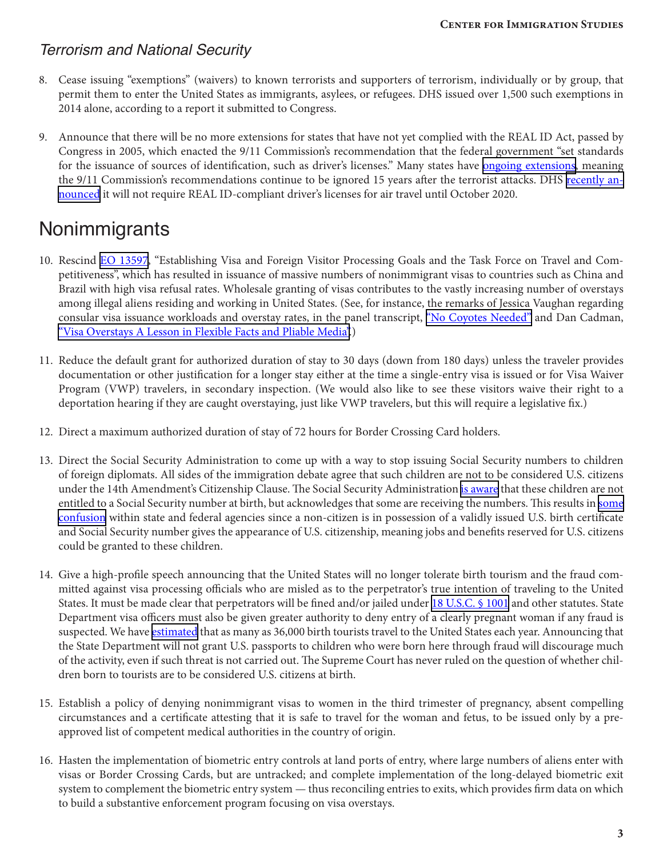#### *Terrorism and National Security*

- 8. Cease issuing "exemptions" (waivers) to known terrorists and supporters of terrorism, individually or by group, that permit them to enter the United States as immigrants, asylees, or refugees. DHS issued over 1,500 such exemptions in 2014 alone, according to a report it submitted to Congress.
- 9. Announce that there will be no more extensions for states that have not yet complied with the REAL ID Act, passed by Congress in 2005, which enacted the 9/11 Commission's recommendation that the federal government "set standards for the issuance of sources of identification, such as driver's licenses." Many states have [ongoing extensions,](https://www.dhs.gov/current-status-states-territories) meaning the 9/11 Commission's recommendations continue to be ignored 15 years after the terrorist attacks. DHS [recently an](https://www.dhs.gov/news/2016/01/08/statement-secretary-jeh-c-johnson-final-phase-real-id-act-implementation)[nounced](https://www.dhs.gov/news/2016/01/08/statement-secretary-jeh-c-johnson-final-phase-real-id-act-implementation) it will not require REAL ID-compliant driver's licenses for air travel until October 2020.

### **Nonimmigrants**

- 10. Rescind [EO 13597,](https://www.whitehouse.gov/the-press-office/2012/01/19/executive-order-establishing-visa-and-foreign-visitor-processing-goals-a) "Establishing Visa and Foreign Visitor Processing Goals and the Task Force on Travel and Competitiveness", which has resulted in issuance of massive numbers of nonimmigrant visas to countries such as China and Brazil with high visa refusal rates. Wholesale granting of visas contributes to the vastly increasing number of overstays among illegal aliens residing and working in United States. (See, for instance, the remarks of Jessica Vaughan regarding consular visa issuance workloads and overstay rates, in the panel transcript, ["No Coyotes Needed"](http://cis.org/PanelTranscripts/Visa-National-Security-Panel) and Dan Cadman, ["Visa Overstays A Lesson in Flexible Facts and Pliable Media".](http://www.cis.org/cadman/visa-overstays-lesson-flexible-facts-and-pliable-media))
- 11. Reduce the default grant for authorized duration of stay to 30 days (down from 180 days) unless the traveler provides documentation or other justification for a longer stay either at the time a single-entry visa is issued or for Visa Waiver Program (VWP) travelers, in secondary inspection. (We would also like to see these visitors waive their right to a deportation hearing if they are caught overstaying, just like VWP travelers, but this will require a legislative fix.)
- 12. Direct a maximum authorized duration of stay of 72 hours for Border Crossing Card holders.
- 13. Direct the Social Security Administration to come up with a way to stop issuing Social Security numbers to children of foreign diplomats. All sides of the immigration debate agree that such children are not to be considered U.S. citizens under the 14th Amendment's Citizenship Clause. The Social Security Administration [is aware](http://cis.org/birthright-citizenship-diplomats) that these children are not entitled to a Social Security number at birth, but acknowledges that [some](http://www.cis.org/feere/response-to-margaret-stock) are receiving the numbers. This results in some [confusion](http://www.cis.org/feere/response-to-margaret-stock) within state and federal agencies since a non-citizen is in possession of a validly issued U.S. birth certificate and Social Security number gives the appearance of U.S. citizenship, meaning jobs and benefits reserved for U.S. citizens could be granted to these children.
- 14. Give a high-profile speech announcing that the United States will no longer tolerate birth tourism and the fraud committed against visa processing officials who are misled as to the perpetrator's true intention of traveling to the United States. It must be made clear that perpetrators will be fined and/or jailed under [18 U.S.C. § 1001](http://cis.org/myth-law-abiding-illegal-alien) and other statutes. State Department visa officers must also be given greater authority to deny entry of a clearly pregnant woman if any fraud is suspected. We have [estimated](http://www.cis.org/camarota/there-are-possibly-36000-birth-tourists-annually) that as many as 36,000 birth tourists travel to the United States each year. Announcing that the State Department will not grant U.S. passports to children who were born here through fraud will discourage much of the activity, even if such threat is not carried out. The Supreme Court has never ruled on the question of whether children born to tourists are to be considered U.S. citizens at birth.
- 15. Establish a policy of denying nonimmigrant visas to women in the third trimester of pregnancy, absent compelling circumstances and a certificate attesting that it is safe to travel for the woman and fetus, to be issued only by a preapproved list of competent medical authorities in the country of origin.
- 16. Hasten the implementation of biometric entry controls at land ports of entry, where large numbers of aliens enter with visas or Border Crossing Cards, but are untracked; and complete implementation of the long-delayed biometric exit system to complement the biometric entry system — thus reconciling entries to exits, which provides firm data on which to build a substantive enforcement program focusing on visa overstays.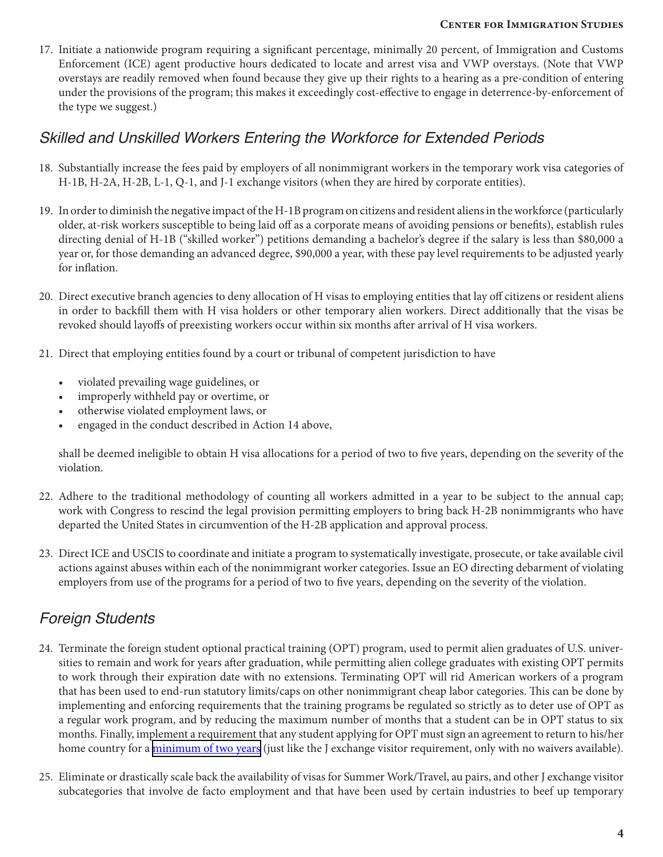17. Initiate a nationwide program requiring a significant percentage, minimally 20 percent, of Immigration and Customs Enforcement (ICE) agent productive hours dedicated to locate and arrest visa and VWP overstays. (Note that VWP overstays are readily removed when found because they give up their rights to a hearing as a pre-condition of entering under the provisions of the program; this makes it exceedingly cost-effective to engage in deterrence-by-enforcement of the type we suggest.)

#### *Skilled and Unskilled Workers Entering the Workforce for Extended Periods*

- 18. Substantially increase the fees paid by employers of all nonimmigrant workers in the temporary work visa categories of H-1B, H-2A, H-2B, L-1, Q-1, and J-1 exchange visitors (when they are hired by corporate entities).
- 19. In order to diminish the negative impact of the H-1B program on citizens and resident aliens in the workforce (particularly older, at-risk workers susceptible to being laid off as a corporate means of avoiding pensions or benefits), establish rules directing denial of H-1B ("skilled worker") petitions demanding a bachelor's degree if the salary is less than \$80,000 a year or, for those demanding an advanced degree, \$90,000 a year, with these pay level requirements to be adjusted yearly for inflation.
- 20. Direct executive branch agencies to deny allocation of H visas to employing entities that lay off citizens or resident aliens in order to backfill them with H visa holders or other temporary alien workers. Direct additionally that the visas be revoked should layoffs of preexisting workers occur within six months after arrival of H visa workers.
- 21. Direct that employing entities found by a court or tribunal of competent jurisdiction to have
	- violated prevailing wage guidelines, or
	- improperly withheld pay or overtime, or
	- otherwise violated employment laws, or
	- engaged in the conduct described in Action 14 above,

shall be deemed ineligible to obtain H visa allocations for a period of two to five years, depending on the severity of the violation.

- 22. Adhere to the traditional methodology of counting all workers admitted in a year to be subject to the annual cap; work with Congress to rescind the legal provision permitting employers to bring back H-2B nonimmigrants who have departed the United States in circumvention of the H-2B application and approval process.
- 23. Direct ICE and USCIS to coordinate and initiate a program to systematically investigate, prosecute, or take available civil actions against abuses within each of the nonimmigrant worker categories. Issue an EO directing debarment of violating employers from use of the programs for a period of two to five years, depending on the severity of the violation.

### *Foreign Students*

- 24. Terminate the foreign student optional practical training (OPT) program, used to permit alien graduates of U.S. universities to remain and work for years after graduation, while permitting alien college graduates with existing OPT permits to work through their expiration date with no extensions. Terminating OPT will rid American workers of a program that has been used to end-run statutory limits/caps on other nonimmigrant cheap labor categories. This can be done by implementing and enforcing requirements that the training programs be regulated so strictly as to deter use of OPT as a regular work program, and by reducing the maximum number of months that a student can be in OPT status to six months. Finally, implement a requirement that any student applying for OPT must sign an agreement to return to his/her home country for a *minimum of two years* (just like the J exchange visitor requirement, only with no waivers available).
- 25. Eliminate or drastically scale back the availability of visas for Summer Work/Travel, au pairs, and other J exchange visitor subcategories that involve de facto employment and that have been used by certain industries to beef up temporary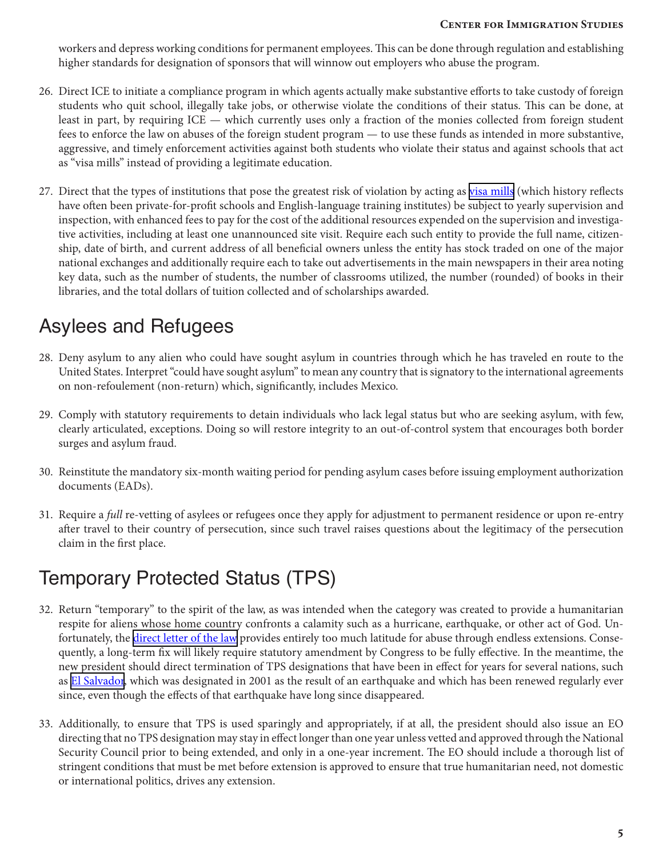workers and depress working conditions for permanent employees. This can be done through regulation and establishing higher standards for designation of sponsors that will winnow out employers who abuse the program.

- 26. Direct ICE to initiate a compliance program in which agents actually make substantive efforts to take custody of foreign students who quit school, illegally take jobs, or otherwise violate the conditions of their status. This can be done, at least in part, by requiring ICE — which currently uses only a fraction of the monies collected from foreign student fees to enforce the law on abuses of the foreign student program — to use these funds as intended in more substantive, aggressive, and timely enforcement activities against both students who violate their status and against schools that act as "visa mills" instead of providing a legitimate education.
- 27. Direct that the types of institutions that pose the greatest risk of violation by acting as [visa mills](http://cis.org/north/reporter-2-schools-are-massive-academic-rip-foreign-students) (which history reflects have often been private-for-profit schools and English-language training institutes) be subject to yearly supervision and inspection, with enhanced fees to pay for the cost of the additional resources expended on the supervision and investigative activities, including at least one unannounced site visit. Require each such entity to provide the full name, citizenship, date of birth, and current address of all beneficial owners unless the entity has stock traded on one of the major national exchanges and additionally require each to take out advertisements in the main newspapers in their area noting key data, such as the number of students, the number of classrooms utilized, the number (rounded) of books in their libraries, and the total dollars of tuition collected and of scholarships awarded.

## Asylees and Refugees

- 28. Deny asylum to any alien who could have sought asylum in countries through which he has traveled en route to the United States. Interpret "could have sought asylum" to mean any country that is signatory to the international agreements on non-refoulement (non-return) which, significantly, includes Mexico.
- 29. Comply with statutory requirements to detain individuals who lack legal status but who are seeking asylum, with few, clearly articulated, exceptions. Doing so will restore integrity to an out-of-control system that encourages both border surges and asylum fraud.
- 30. Reinstitute the mandatory six-month waiting period for pending asylum cases before issuing employment authorization documents (EADs).
- 31. Require a *full* re-vetting of asylees or refugees once they apply for adjustment to permanent residence or upon re-entry after travel to their country of persecution, since such travel raises questions about the legitimacy of the persecution claim in the first place.

## Temporary Protected Status (TPS)

- 32. Return "temporary" to the spirit of the law, as was intended when the category was created to provide a humanitarian respite for aliens whose home country confronts a calamity such as a hurricane, earthquake, or other act of God. Unfortunately, the *direct letter of the law* provides entirely too much latitude for abuse through endless extensions. Consequently, a long-term fix will likely require statutory amendment by Congress to be fully effective. In the meantime, the new president should direct termination of TPS designations that have been in effect for years for several nations, such as [El Salvador,](https://www.justice.gov/sites/default/files/eoir/legacy/2002/09/09/fr09mr01N.pdf) which was designated in 2001 as the result of an earthquake and which has been renewed regularly ever since, even though the effects of that earthquake have long since disappeared.
- 33. Additionally, to ensure that TPS is used sparingly and appropriately, if at all, the president should also issue an EO directing that no TPS designation may stay in effect longer than one year unless vetted and approved through the National Security Council prior to being extended, and only in a one-year increment. The EO should include a thorough list of stringent conditions that must be met before extension is approved to ensure that true humanitarian need, not domestic or international politics, drives any extension.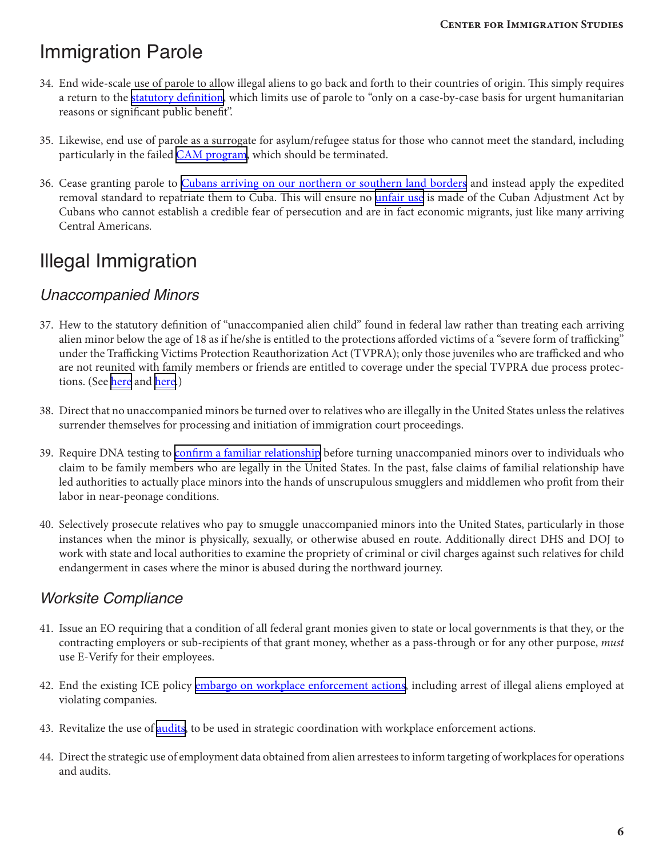### Immigration Parole

- 34. End wide-scale use of parole to allow illegal aliens to go back and forth to their countries of origin. This simply requires a return to the **[statutory definition](https://www.law.cornell.edu/uscode/text/8/1182)**, which limits use of parole to "only on a case-by-case basis for urgent humanitarian reasons or significant public benefit".
- 35. Likewise, end use of parole as a surrogate for asylum/refugee status for those who cannot meet the standard, including particularly in the failed *[CAM program](http://cis.org/vaughan/central-american-refugee-program-admits-few-actual-refugees)*, which should be terminated.
- 36. Cease granting parole to [Cubans arriving on our northern or southern land borders](http://abcnews.go.com/ABC_Univision/News/cuban-immigrants-entering-us-mexico-spikes-400-percent/story?id=17516832) and instead apply the expedited removal standard to repatriate them to Cuba. This will ensure no *[unfair use](http://www.cis.org/cadman/refusing-reward-illegal-cuban-arrivals-benefit-adjustment)* is made of the Cuban Adjustment Act by Cubans who cannot establish a credible fear of persecution and are in fact economic migrants, just like many arriving Central Americans.

## Illegal Immigration

### *Unaccompanied Minors*

- 37. Hew to the statutory definition of "unaccompanied alien child" found in federal law rather than treating each arriving alien minor below the age of 18 as if he/she is entitled to the protections afforded victims of a "severe form of trafficking" under the Trafficking Victims Protection Reauthorization Act (TVPRA); only those juveniles who are trafficked and who are not reunited with family members or friends are entitled to coverage under the special TVPRA due process protections. (See [here](http://cis.org/2008-trafficking-law-inapplicable-current-border-crisis) and [here](http://cis.org/feere/trafficking-law-largely-inapplicable-border-crisis).)
- 38. Direct that no unaccompanied minors be turned over to relatives who are illegally in the United States unless the relatives surrender themselves for processing and initiation of immigration court proceedings.
- 39. Require DNA testing to [confirm a familiar relationship](http://www.cnn.com/videos/tv/2016/01/28/child-labor-human-trafficking-senator-portman-the-lead-live-intv.cnn) before turning unaccompanied minors over to individuals who claim to be family members who are legally in the United States. In the past, false claims of familial relationship have led authorities to actually place minors into the hands of unscrupulous smugglers and middlemen who profit from their labor in near-peonage conditions.
- 40. Selectively prosecute relatives who pay to smuggle unaccompanied minors into the United States, particularly in those instances when the minor is physically, sexually, or otherwise abused en route. Additionally direct DHS and DOJ to work with state and local authorities to examine the propriety of criminal or civil charges against such relatives for child endangerment in cases where the minor is abused during the northward journey.

### *Worksite Compliance*

- 41. Issue an EO requiring that a condition of all federal grant monies given to state or local governments is that they, or the contracting employers or sub-recipients of that grant money, whether as a pass-through or for any other purpose, *must* use E-Verify for their employees.
- 42. End the existing ICE policy [embargo on workplace enforcement actions,](https://www.ice.gov/doclib/foia/dro_policy_memos/worksite_enforcement_strategy4_30_2009.pdf) including arrest of illegal aliens employed at violating companies.
- 43. Revitalize the use of [audits](http://cis.org/cadman/how-survive-audit-almost-never-takes-place), to be used in strategic coordination with workplace enforcement actions.
- 44. Direct the strategic use of employment data obtained from alien arrestees to inform targeting of workplaces for operations and audits.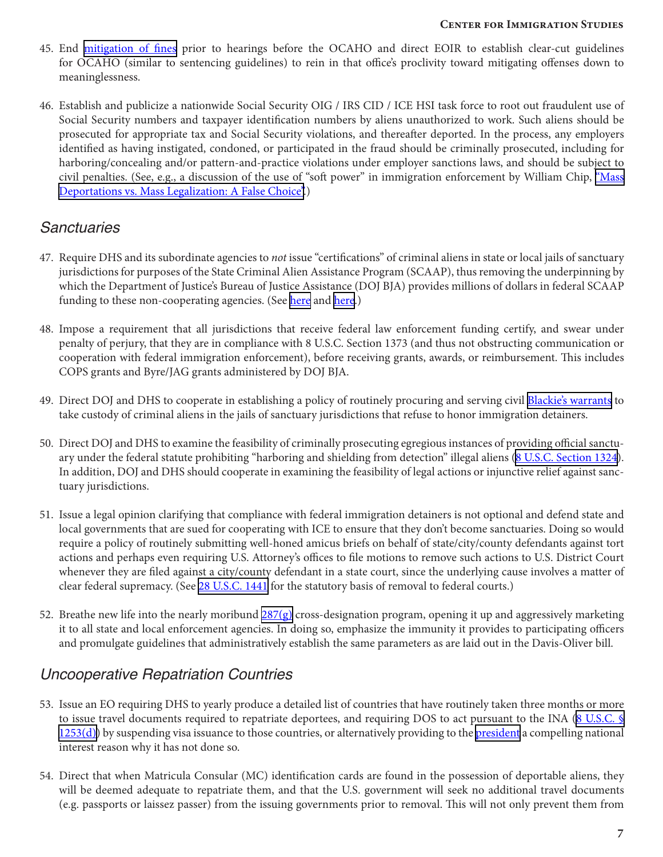- 45. End [mitigation of fines](http://cis.org/north/tiny-virtually-unknown-agency-dilutes-penalties-i-9-violations) prior to hearings before the OCAHO and direct EOIR to establish clear-cut guidelines for OCAHO (similar to sentencing guidelines) to rein in that office's proclivity toward mitigating offenses down to meaninglessness.
- 46. Establish and publicize a nationwide Social Security OIG / IRS CID / ICE HSI task force to root out fraudulent use of Social Security numbers and taxpayer identification numbers by aliens unauthorized to work. Such aliens should be prosecuted for appropriate tax and Social Security violations, and thereafter deported. In the process, any employers identified as having instigated, condoned, or participated in the fraud should be criminally prosecuted, including for harboring/concealing and/or pattern-and-practice violations under employer sanctions laws, and should be subject to civil penalties. (See, e.g., a discussion of the use of "soft power" in immigration enforcement by William Chip, ["Mass](http://cis.org/Mass-Deportations-or-Mass-Legalizations-A-False-Choice) [Deportations vs. Mass Legalization: A False Choice"](http://cis.org/Mass-Deportations-or-Mass-Legalizations-A-False-Choice).)

### *Sanctuaries*

- 47. Require DHS and its subordinate agencies to *not* issue "certifications" of criminal aliens in state or local jails of sanctuary jurisdictions for purposes of the State Criminal Alien Assistance Program (SCAAP), thus removing the underpinning by which the Department of Justice's Bureau of Justice Assistance (DOJ BJA) provides millions of dollars in federal SCAAP funding to these non-cooperating agencies. (See [here](http://cis.org/vaughan/justice-department-agrees-end-subsidies-sanctuaries) and [here.](http://cis.org/cadman/administrations-new-anti-sanctuary-assurances-trust-verify))
- 48. Impose a requirement that all jurisdictions that receive federal law enforcement funding certify, and swear under penalty of perjury, that they are in compliance with 8 U.S.C. Section 1373 (and thus not obstructing communication or cooperation with federal immigration enforcement), before receiving grants, awards, or reimbursement. This includes COPS grants and Byre/JAG grants administered by DOJ BJA.
- 49. Direct DOJ and DHS to cooperate in establishing a policy of routinely procuring and serving civil [Blackie's warrants](http://cis.org/cadman/feds-should-use-blackies-warrants-challenge-sanctuary-jurisdictions) to take custody of criminal aliens in the jails of sanctuary jurisdictions that refuse to honor immigration detainers.
- 50. Direct DOJ and DHS to examine the feasibility of criminally prosecuting egregious instances of providing official sanctu-ary under the federal statute prohibiting "harboring and shielding from detection" illegal aliens [\(8 U.S.C. Section 1324](https://www.law.cornell.edu/uscode/text/8/1324)). In addition, DOJ and DHS should cooperate in examining the feasibility of legal actions or injunctive relief against sanctuary jurisdictions.
- 51. Issue a legal opinion clarifying that compliance with federal immigration detainers is not optional and defend state and local governments that are sued for cooperating with ICE to ensure that they don't become sanctuaries. Doing so would require a policy of routinely submitting well-honed amicus briefs on behalf of state/city/county defendants against tort actions and perhaps even requiring U.S. Attorney's offices to file motions to remove such actions to U.S. District Court whenever they are filed against a city/county defendant in a state court, since the underlying cause involves a matter of clear federal supremacy. (See [28 U.S.C. 1441](https://www.law.cornell.edu/uscode/text/28/1441) for the statutory basis of removal to federal courts.)
- 52. Breathe new life into the nearly moribund  $287(g)$  cross-designation program, opening it up and aggressively marketing it to all state and local enforcement agencies. In doing so, emphasize the immunity it provides to participating officers and promulgate guidelines that administratively establish the same parameters as are laid out in the Davis-Oliver bill.

### *Uncooperative Repatriation Countries*

- 53. Issue an EO requiring DHS to yearly produce a detailed list of countries that have routinely taken three months or more to issue travel documents required to repatriate deportees, and requiring DOS to act pursuant to the INA [\(8 U.S.C. §](https://www.law.cornell.edu/uscode/text/8/1253)  $1253(d)$ ) by suspending visa issuance to those countries, or alternatively providing to the [president](http://cis.org/clinton-kerry-share-responsibility-criminal-alien-releases) a compelling national interest reason why it has not done so.
- 54. Direct that when Matricula Consular (MC) identification cards are found in the possession of deportable aliens, they will be deemed adequate to repatriate them, and that the U.S. government will seek no additional travel documents (e.g. passports or laissez passer) from the issuing governments prior to removal. This will not only prevent them from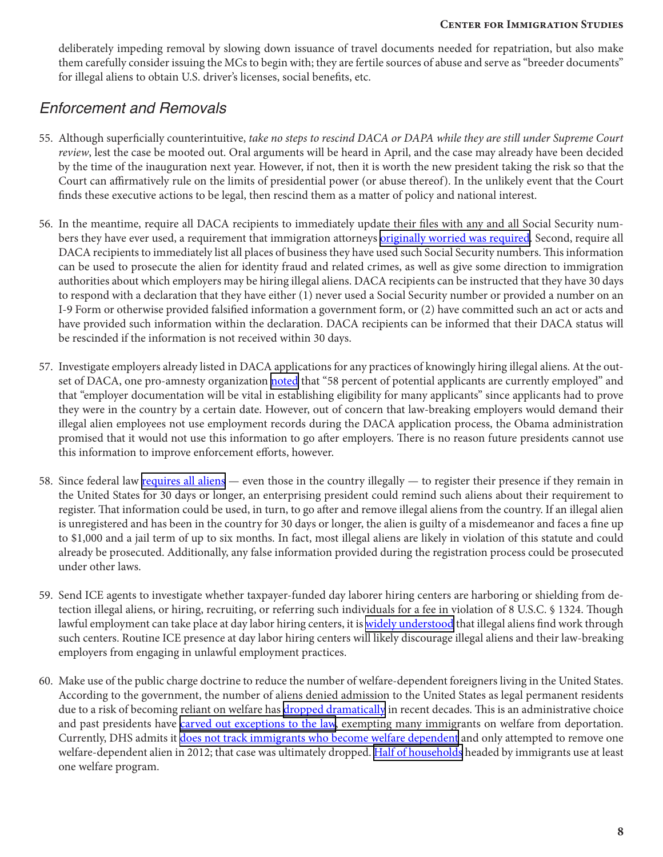deliberately impeding removal by slowing down issuance of travel documents needed for repatriation, but also make them carefully consider issuing the MCs to begin with; they are fertile sources of abuse and serve as "breeder documents" for illegal aliens to obtain U.S. driver's licenses, social benefits, etc.

### *Enforcement and Removals*

- 55. Although superficially counterintuitive, *take no steps to rescind DACA or DAPA while they are still under Supreme Court review*, lest the case be mooted out. Oral arguments will be heard in April, and the case may already have been decided by the time of the inauguration next year. However, if not, then it is worth the new president taking the risk so that the Court can affirmatively rule on the limits of presidential power (or abuse thereof). In the unlikely event that the Court finds these executive actions to be legal, then rescind them as a matter of policy and national interest.
- 56. In the meantime, require all DACA recipients to immediately update their files with any and all Social Security numbers they have ever used, a requirement that immigration attorneys [originally worried was required](http://cis.org/feere/obama-administration-promises-ignore-ssn-fraud-protect-law-breaking-businesses). Second, require all DACA recipients to immediately list all places of business they have used such Social Security numbers. This information can be used to prosecute the alien for identity fraud and related crimes, as well as give some direction to immigration authorities about which employers may be hiring illegal aliens. DACA recipients can be instructed that they have 30 days to respond with a declaration that they have either (1) never used a Social Security number or provided a number on an I-9 Form or otherwise provided falsified information a government form, or (2) have committed such an act or acts and have provided such information within the declaration. DACA recipients can be informed that their DACA status will be rescinded if the information is not received within 30 days.
- 57. Investigate employers already listed in DACA applications for any practices of knowingly hiring illegal aliens. At the outset of DACA, one pro-amnesty organization [noted](http://www.cis.org/feere/pro-amnesty-think-tank-wants-lawbreaking-businesses-protected-id-fraud-buried) that "58 percent of potential applicants are currently employed" and that "employer documentation will be vital in establishing eligibility for many applicants" since applicants had to prove they were in the country by a certain date. However, out of concern that law-breaking employers would demand their illegal alien employees not use employment records during the DACA application process, the Obama administration promised that it would not use this information to go after employers. There is no reason future presidents cannot use this information to improve enforcement efforts, however.
- 58. Since federal law [requires all aliens](http://cis.org/myth-law-abiding-illegal-alien) even those in the country illegally to register their presence if they remain in the United States for 30 days or longer, an enterprising president could remind such aliens about their requirement to register. That information could be used, in turn, to go after and remove illegal aliens from the country. If an illegal alien is unregistered and has been in the country for 30 days or longer, the alien is guilty of a misdemeanor and faces a fine up to \$1,000 and a jail term of up to six months. In fact, most illegal aliens are likely in violation of this statute and could already be prosecuted. Additionally, any false information provided during the registration process could be prosecuted under other laws.
- 59. Send ICE agents to investigate whether taxpayer-funded day laborer hiring centers are harboring or shielding from detection illegal aliens, or hiring, recruiting, or referring such individuals for a fee in violation of 8 U.S.C. § 1324. Though lawful employment can take place at day labor hiring centers, it is [widely understood](http://cis.org/node/2855) that illegal aliens find work through such centers. Routine ICE presence at day labor hiring centers will likely discourage illegal aliens and their law-breaking employers from engaging in unlawful employment practices.
- 60. Make use of the public charge doctrine to reduce the number of welfare-dependent foreigners living in the United States. According to the government, the number of aliens denied admission to the United States as legal permanent residents due to a risk of becoming reliant on welfare has [dropped dramatically](http://www.breitbart.com/big-government/2016/03/24/immigrants-denied-admission-to-the-u-s-due-to-welfare-dependency-risk-plummets/) in recent decades. This is an administrative choice and past presidents have *carved out exceptions to the law*, exempting many immigrants on welfare from deportation. Currently, DHS admits it [does not track immigrants who become welfare dependent](http://dailycaller.com/2013/02/13/dhs-only-makes-one-public-charge-deportation-in-last-fiscal-year-admits-inadequate-recordkeeping/) and only attempted to remove one welfare-dependent alien in 2012; that case was ultimately dropped. [Half of households](http://cis.org/Welfare-Use-Immigrant-Native-Households) headed by immigrants use at least one welfare program.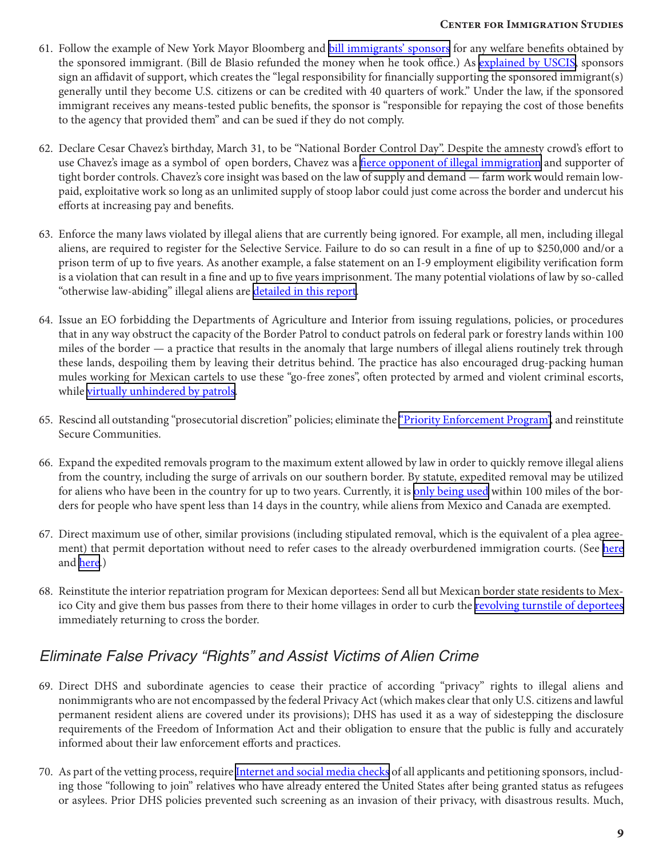- 61. Follow the example of New York Mayor Bloomberg and [bill immigrants' sponsors](http://www.nydailynews.com/news/politics/exclusive-mayor-de-blasio-stops-immigrants-sponsors-welfare-repayment-requirement-refunding-1m-article-1.1794172) for any welfare benefits obtained by the sponsored immigrant. (Bill de Blasio refunded the money when he took office.) As [explained by USCIS](https://www.uscis.gov/green-card/green-card-processes-and-procedures/affidavit-support), sponsors sign an affidavit of support, which creates the "legal responsibility for financially supporting the sponsored immigrant(s) generally until they become U.S. citizens or can be credited with 40 quarters of work." Under the law, if the sponsored immigrant receives any means-tested public benefits, the sponsor is "responsible for repaying the cost of those benefits to the agency that provided them" and can be sued if they do not comply.
- 62. Declare Cesar Chavez's birthday, March 31, to be "National Border Control Day". Despite the amnesty crowd's effort to use Chavez's image as a symbol of open borders, Chavez was a [fierce opponent of illegal immigration](http://www.nationalreview.com/article/374564/happy-border-control-day-mark-krikorian) and supporter of tight border controls. Chavez's core insight was based on the law of supply and demand — farm work would remain lowpaid, exploitative work so long as an unlimited supply of stoop labor could just come across the border and undercut his efforts at increasing pay and benefits.
- 63. Enforce the many laws violated by illegal aliens that are currently being ignored. For example, all men, including illegal aliens, are required to register for the Selective Service. Failure to do so can result in a fine of up to \$250,000 and/or a prison term of up to five years. As another example, a false statement on an I-9 employment eligibility verification form is a violation that can result in a fine and up to five years imprisonment. The many potential violations of law by so-called "otherwise law-abiding" illegal aliens are [detailed in this report.](http://cis.org/myth-law-abiding-illegal-alien)
- 64. Issue an EO forbidding the Departments of Agriculture and Interior from issuing regulations, policies, or procedures that in any way obstruct the capacity of the Border Patrol to conduct patrols on federal park or forestry lands within 100 miles of the border  $-$  a practice that results in the anomaly that large numbers of illegal aliens routinely trek through these lands, despoiling them by leaving their detritus behind. The practice has also encouraged drug-packing human mules working for Mexican cartels to use these "go-free zones", often protected by armed and violent criminal escorts, while [virtually unhindered by patrols](http://naturalresources.house.gov/border/).
- 65. Rescind all outstanding "prosecutorial discretion" policies; eliminate the ["Priority Enforcement Program"](http://cis.org/vaughan/concerns-about-new-priority-enforcement-program), and reinstitute Secure Communities.
- 66. Expand the expedited removals program to the maximum extent allowed by law in order to quickly remove illegal aliens from the country, including the surge of arrivals on our southern border. By statute, expedited removal may be utilized for aliens who have been in the country for up to two years. Currently, it is [only being used](http://cis.org/feere/senate-hearing-immigration-courts-5-11) within 100 miles of the borders for people who have spent less than 14 days in the country, while aliens from Mexico and Canada are exempted.
- 67. Direct maximum use of other, similar provisions (including stipulated removal, which is the equivalent of a plea agreement) that permit deportation without need to refer cases to the already overburdened immigration courts. (See [here](http://cis.org/TVInterviews/Vaughan-FOX-Friends-110814) and [here](http://cis.org/cadman/backlogs-americas-immigration-courts).)
- 68. Reinstitute the interior repatriation program for Mexican deportees: Send all but Mexican border state residents to Mexico City and give them bus passes from there to their home villages in order to curb the [revolving turnstile of deportees](http://cis.org/cadman/little-respect-dhss-new-repatriation-agreements) immediately returning to cross the border.

### *Eliminate False Privacy "Rights" and Assist Victims of Alien Crime*

- 69. Direct DHS and subordinate agencies to cease their practice of according "privacy" rights to illegal aliens and nonimmigrants who are not encompassed by the federal Privacy Act (which makes clear that only U.S. citizens and lawful permanent resident aliens are covered under its provisions); DHS has used it as a way of sidestepping the disclosure requirements of the Freedom of Information Act and their obligation to ensure that the public is fully and accurately informed about their law enforcement efforts and practices.
- 70. As part of the vetting process, require [Internet and social media checks](http://www.breitbart.com/big-government/2016/02/03/obama-admin-not-currently-screening-social-media-of-all-syrian-refugees/) of all applicants and petitioning sponsors, including those "following to join" relatives who have already entered the United States after being granted status as refugees or asylees. Prior DHS policies prevented such screening as an invasion of their privacy, with disastrous results. Much,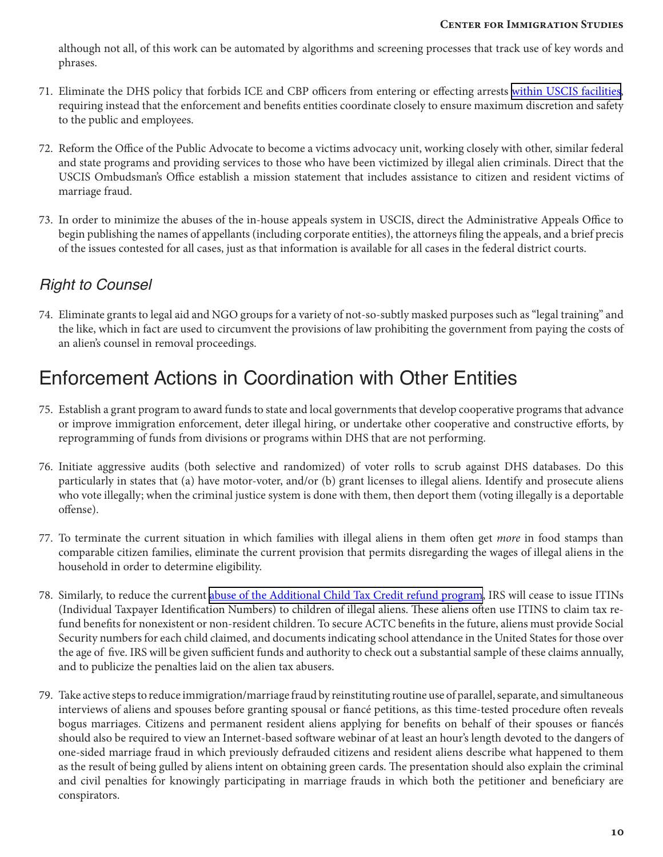although not all, of this work can be automated by algorithms and screening processes that track use of key words and phrases.

- 71. Eliminate the DHS policy that forbids ICE and CBP officers from entering or effecting arrests [within USCIS facilities](http://www.foxnews.com/politics/2016/03/15/feds-blocked-from-person-interest-after-san-bernardino-attack-lawmakers-told.html), requiring instead that the enforcement and benefits entities coordinate closely to ensure maximum discretion and safety to the public and employees.
- 72. Reform the Office of the Public Advocate to become a victims advocacy unit, working closely with other, similar federal and state programs and providing services to those who have been victimized by illegal alien criminals. Direct that the USCIS Ombudsman's Office establish a mission statement that includes assistance to citizen and resident victims of marriage fraud.
- 73. In order to minimize the abuses of the in-house appeals system in USCIS, direct the Administrative Appeals Office to begin publishing the names of appellants (including corporate entities), the attorneys filing the appeals, and a brief precis of the issues contested for all cases, just as that information is available for all cases in the federal district courts.

### *Right to Counsel*

74. Eliminate grants to legal aid and NGO groups for a variety of not-so-subtly masked purposes such as "legal training" and the like, which in fact are used to circumvent the provisions of law prohibiting the government from paying the costs of an alien's counsel in removal proceedings.

## Enforcement Actions in Coordination with Other Entities

- 75. Establish a grant program to award funds to state and local governments that develop cooperative programs that advance or improve immigration enforcement, deter illegal hiring, or undertake other cooperative and constructive efforts, by reprogramming of funds from divisions or programs within DHS that are not performing.
- 76. Initiate aggressive audits (both selective and randomized) of voter rolls to scrub against DHS databases. Do this particularly in states that (a) have motor-voter, and/or (b) grant licenses to illegal aliens. Identify and prosecute aliens who vote illegally; when the criminal justice system is done with them, then deport them (voting illegally is a deportable offense).
- 77. To terminate the current situation in which families with illegal aliens in them often get *more* in food stamps than comparable citizen families, eliminate the current provision that permits disregarding the wages of illegal aliens in the household in order to determine eligibility.
- 78. Similarly, to reduce the current [abuse of the Additional Child Tax Credit refund program,](http://cis.org/north/its-tax-refund-time-illegal-aliens) IRS will cease to issue ITINs (Individual Taxpayer Identification Numbers) to children of illegal aliens. These aliens often use ITINS to claim tax refund benefits for nonexistent or non-resident children. To secure ACTC benefits in the future, aliens must provide Social Security numbers for each child claimed, and documents indicating school attendance in the United States for those over the age of five. IRS will be given sufficient funds and authority to check out a substantial sample of these claims annually, and to publicize the penalties laid on the alien tax abusers.
- 79. Take active steps to reduce immigration/marriage fraud by reinstituting routine use of parallel, separate, and simultaneous interviews of aliens and spouses before granting spousal or fiancé petitions, as this time-tested procedure often reveals bogus marriages. Citizens and permanent resident aliens applying for benefits on behalf of their spouses or fiancés should also be required to view an Internet-based software webinar of at least an hour's length devoted to the dangers of one-sided marriage fraud in which previously defrauded citizens and resident aliens describe what happened to them as the result of being gulled by aliens intent on obtaining green cards. The presentation should also explain the criminal and civil penalties for knowingly participating in marriage frauds in which both the petitioner and beneficiary are conspirators.